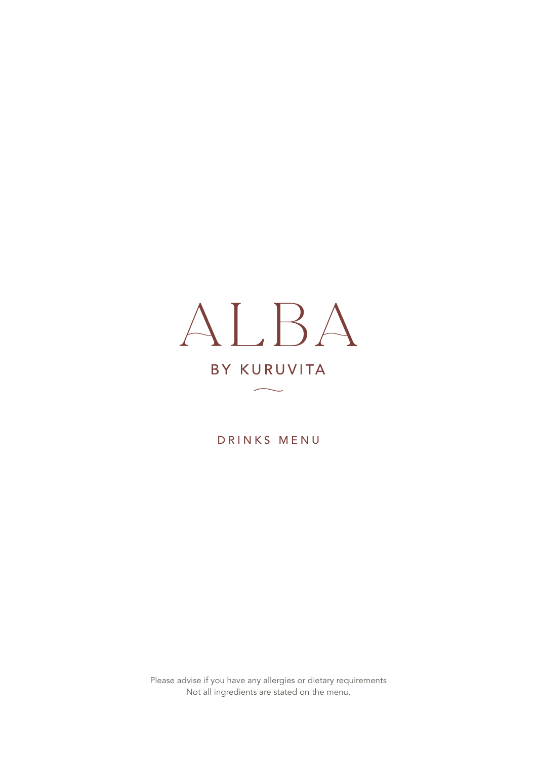# ALBA BY KURUVITA

DRINKS MENU

Please advise if you have any allergies or dietary requirements Not all ingredients are stated on the menu.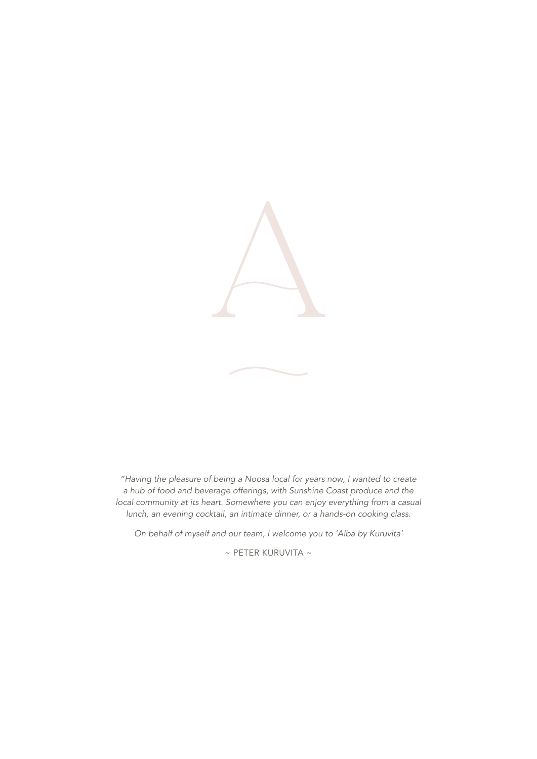

*"Having the pleasure of being a Noosa local for years now, I wanted to create a hub of food and beverage offerings, with Sunshine Coast produce and the local community at its heart. Somewhere you can enjoy everything from a casual lunch, an evening cocktail, an intimate dinner, or a hands-on cooking class.*

*On behalf of myself and our team, I welcome you to 'Alba by Kuruvita'*

 $\sim$  PETER KURUVITA  $\sim$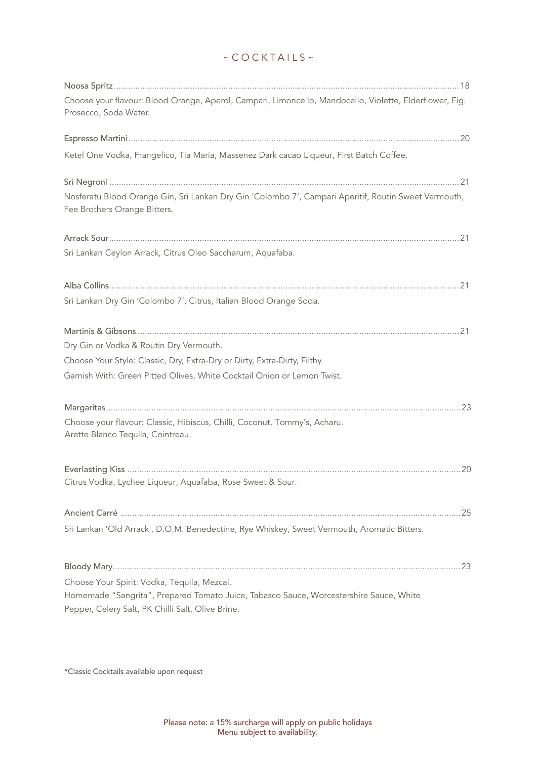# $~\sim$  COCKTAILS  $~\sim$

| Choose your flavour: Blood Orange, Aperol, Campari, Limoncello, Mandocello, Violette, Elderflower, Fig.<br>Prosecco, Soda Water.            |
|---------------------------------------------------------------------------------------------------------------------------------------------|
|                                                                                                                                             |
| Ketel One Vodka, Frangelico, Tia Maria, Massenez Dark cacao Liqueur, First Batch Coffee.                                                    |
| Nosferatu Blood Orange Gin, Sri Lankan Dry Gin 'Colombo 7', Campari Aperitif, Routin Sweet Vermouth,<br>Fee Brothers Orange Bitters.        |
|                                                                                                                                             |
| Sri Lankan Ceylon Arrack, Citrus Oleo Saccharum, Aquafaba.                                                                                  |
|                                                                                                                                             |
| Sri Lankan Dry Gin 'Colombo 7', Citrus, Italian Blood Orange Soda.                                                                          |
| Dry Gin or Vodka & Routin Dry Vermouth.                                                                                                     |
| Choose Your Style: Classic, Dry, Extra-Dry or Dirty, Extra-Dirty, Filthy.                                                                   |
| Garnish With: Green Pitted Olives, White Cocktail Onion or Lemon Twist.                                                                     |
|                                                                                                                                             |
| Choose your flavour: Classic, Hibiscus, Chilli, Coconut, Tommy's, Acharu.<br>Arette Blanco Tequila, Cointreau.                              |
|                                                                                                                                             |
| Citrus Vodka, Lychee Liqueur, Aquafaba, Rose Sweet & Sour.                                                                                  |
|                                                                                                                                             |
| Sri Lankan 'Old Arrack', D.O.M. Benedectine, Rye Whiskey, Sweet Vermouth, Aromatic Bitters.                                                 |
|                                                                                                                                             |
| Choose Your Spirit: Vodka, Tequila, Mezcal.                                                                                                 |
| Homemade "Sangrita", Prepared Tomato Juice, Tabasco Sauce, Worcestershire Sauce, White<br>Pepper, Celery Salt, PK Chilli Salt, Olive Brine. |

\*Classic Cocktails available upon request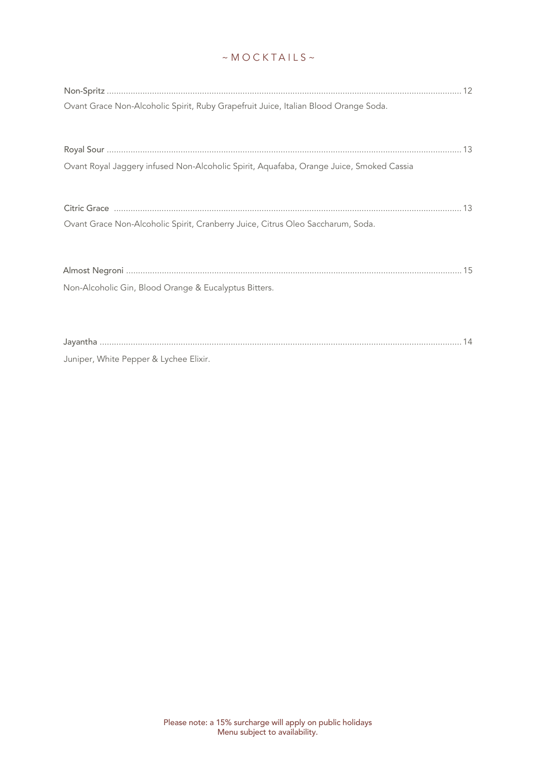# $~\sim$ MOCKTAILS $~\sim$

| Ovant Grace Non-Alcoholic Spirit, Ruby Grapefruit Juice, Italian Blood Orange Soda.     |  |
|-----------------------------------------------------------------------------------------|--|
|                                                                                         |  |
| Ovant Royal Jaggery infused Non-Alcoholic Spirit, Aquafaba, Orange Juice, Smoked Cassia |  |
|                                                                                         |  |
| Ovant Grace Non-Alcoholic Spirit, Cranberry Juice, Citrus Oleo Saccharum, Soda.         |  |
|                                                                                         |  |
| Non-Alcoholic Gin, Blood Orange & Eucalyptus Bitters.                                   |  |
|                                                                                         |  |
| Juniper, White Pepper & Lychee Elixir.                                                  |  |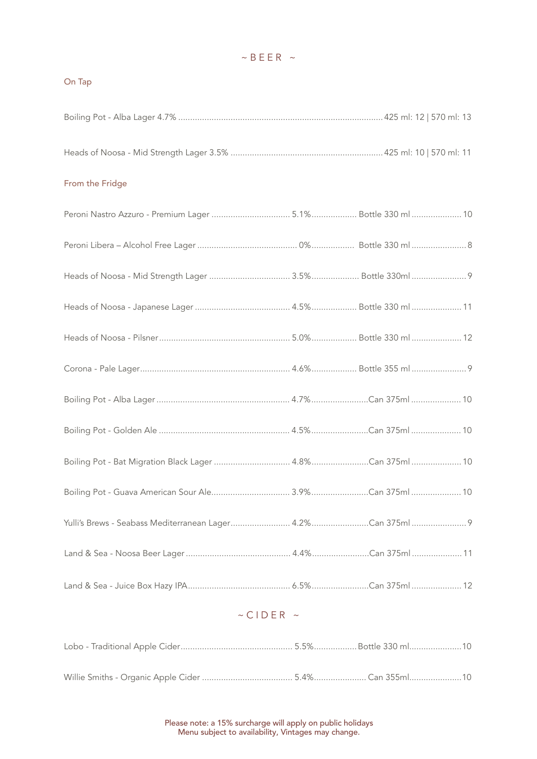## $~\sim$  BEER  $~\sim$

#### On Tap

| From the Fridge     |  |
|---------------------|--|
|                     |  |
|                     |  |
|                     |  |
|                     |  |
|                     |  |
|                     |  |
|                     |  |
|                     |  |
|                     |  |
|                     |  |
|                     |  |
|                     |  |
|                     |  |
| $\sim$ CIDER $\sim$ |  |
|                     |  |

Willie Smiths - Organic Apple Cider ...................................... 5.4%...................... Can 355ml......................10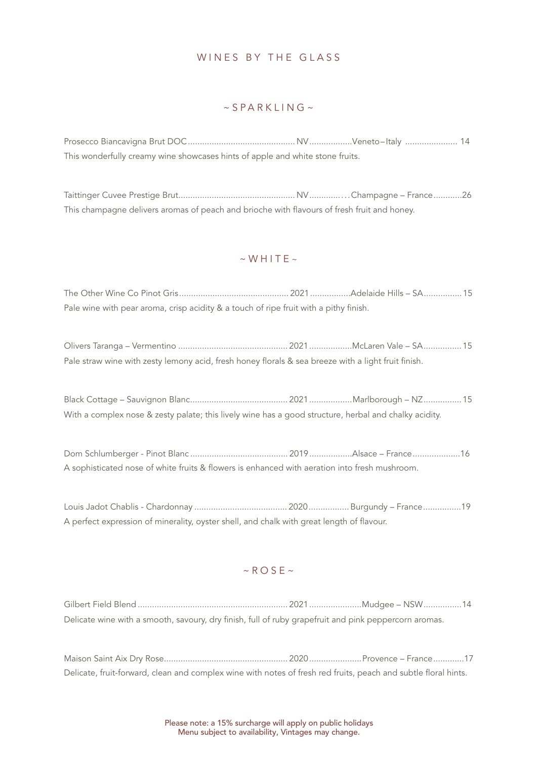## WINES BY THE GLASS

#### $\sim$  S P A R K I IN G  $\sim$

| This wonderfully creamy wine showcases hints of apple and white stone fruits. |  |  |
|-------------------------------------------------------------------------------|--|--|

Taittinger Cuvee Prestige Brut................................................. NV ................Champagne – France ............26 This champagne delivers aromas of peach and brioche with flavours of fresh fruit and honey.

#### $~\sim$  WHITE  $~\sim$

The Other Wine Co Pinot Gris.............................................. 2021 .................Adelaide Hills – SA................15 Pale wine with pear aroma, crisp acidity & a touch of ripe fruit with a pithy finish.

Olivers Taranga – Vermentino .............................................. 2021..................McLaren Vale – SA................15 Pale straw wine with zesty lemony acid, fresh honey florals & sea breeze with a light fruit finish.

Black Cottage – Sauvignon Blanc......................................... 2021..................Marlborough – NZ................15 With a complex nose & zesty palate; this lively wine has a good structure, herbal and chalky acidity.

Dom Schlumberger - Pinot Blanc ......................................... 2019 ..................Alsace – France ....................16 A sophisticated nose of white fruits & flowers is enhanced with aeration into fresh mushroom.

Louis Jadot Chablis - Chardonnay ....................................... 2020................. Burgundy – France ................19 A perfect expression of minerality, oyster shell, and chalk with great length of flavour.

## $~\sim$ ROSE $~\sim$

Gilbert Field Blend ............................................................... 2021......................Mudgee – NSW................14 Delicate wine with a smooth, savoury, dry finish, full of ruby grapefruit and pink peppercorn aromas.

Maison Saint Aix Dry Rose.................................................... 2020 ......................Provence – France .............17 Delicate, fruit-forward, clean and complex wine with notes of fresh red fruits, peach and subtle floral hints.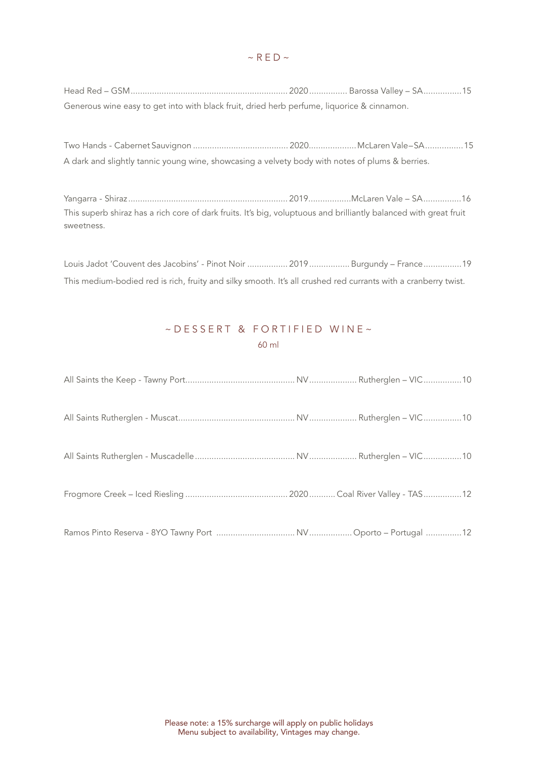Head Red – GSM.................................................................. 2020................ Barossa Valley – SA................15 Generous wine easy to get into with black fruit, dried herb perfume, liquorice & cinnamon.

Two Hands - Cabernet Sauvignon ........................................ 2020.................... McLaren Vale – SA ................ 15 A dark and slightly tannic young wine, showcasing a velvety body with notes of plums & berries.

Yangarra - Shiraz ................................................................... 2019..................McLaren Vale – SA ................16 This superb shiraz has a rich core of dark fruits. It's big, voluptuous and brilliantly balanced with great fruit sweetness.

Louis Jadot 'Couvent des Jacobins' - Pinot Noir ................. 2019................. Burgundy – France................19 This medium-bodied red is rich, fruity and silky smooth. It's all crushed red currants with a cranberry twist.

# $\sim$  DESSERT & FORTIFIED WINE $\sim$ 60 ml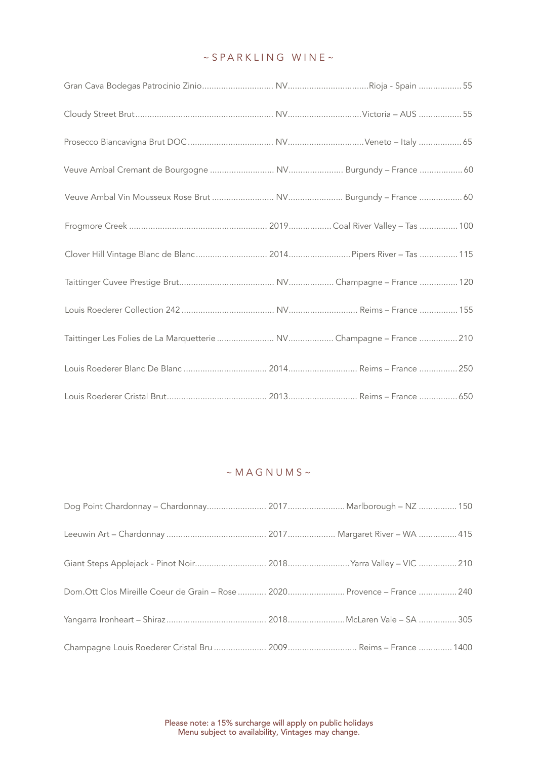## ~SPARKLING WINE~

| Clover Hill Vintage Blanc de Blanc 2014 Pipers River - Tas  115 |  |
|-----------------------------------------------------------------|--|
|                                                                 |  |
|                                                                 |  |
|                                                                 |  |
|                                                                 |  |
|                                                                 |  |

# $~\sim$  MAGNUMS $~\sim$

| Dog Point Chardonnay - Chardonnay 2017 Marlborough - NZ  150    |  |
|-----------------------------------------------------------------|--|
|                                                                 |  |
| Giant Steps Applejack - Pinot Noir 2018 Yarra Valley - VIC  210 |  |
|                                                                 |  |
|                                                                 |  |
|                                                                 |  |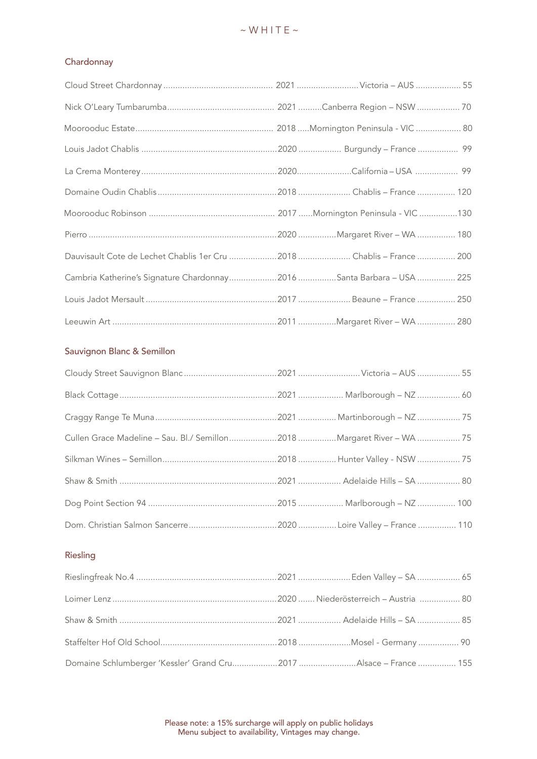#### **Chardonnay**

| Dauvisault Cote de Lechet Chablis 1er Cru 2018  Chablis - France  200 |  |  |
|-----------------------------------------------------------------------|--|--|
| Cambria Katherine's Signature Chardonnay2016 Santa Barbara - USA  225 |  |  |
|                                                                       |  |  |
|                                                                       |  |  |

#### Sauvignon Blanc & Semillon

| Cullen Grace Madeline - Sau. Bl./ Semillon2018 Margaret River - WA  75 |  |
|------------------------------------------------------------------------|--|
|                                                                        |  |
|                                                                        |  |
|                                                                        |  |
|                                                                        |  |

#### Riesling

| Domaine Schlumberger 'Kessler' Grand Cru2017 Alsace - France  155 |  |  |
|-------------------------------------------------------------------|--|--|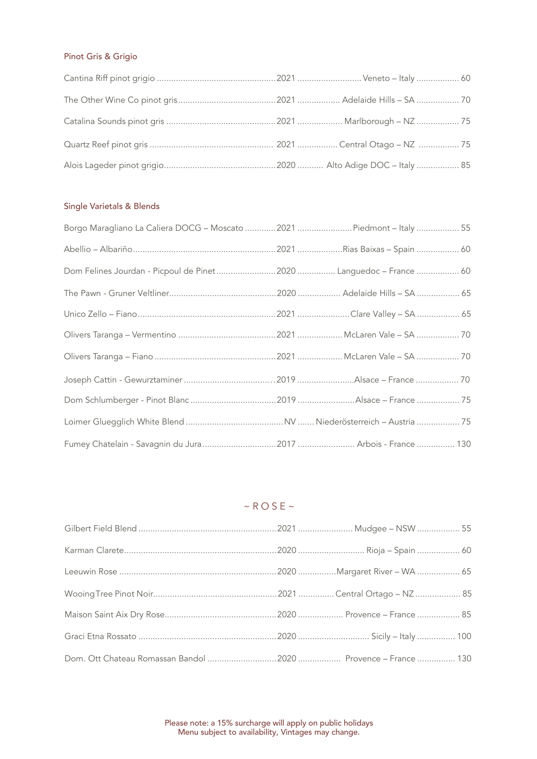## Pinot Gris & Grigio

## Single Varietals & Blends

| Fumey Chatelain - Savagnin du Jura 2017  Arbois - France  130 |  |
|---------------------------------------------------------------|--|

## $~\sim$  ROSE $~\sim$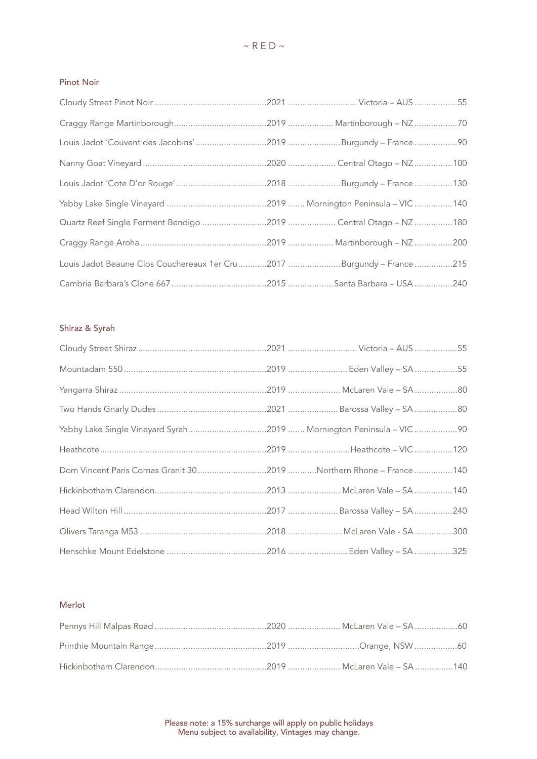#### Pinot Noir

| Louis Jadot 'Couvent des Jacobins'2019 Burgundy - France 90           |  |  |
|-----------------------------------------------------------------------|--|--|
|                                                                       |  |  |
|                                                                       |  |  |
|                                                                       |  |  |
| Quartz Reef Single Ferment Bendigo 2019  Central Otago - NZ 180       |  |  |
|                                                                       |  |  |
| Louis Jadot Beaune Clos Couchereaux 1er Cru2017 Burgundy - France 215 |  |  |
|                                                                       |  |  |

## Shiraz & Syrah

| Dom Vincent Paris Cornas Granit 302019 Northern Rhone - France 140 |  |
|--------------------------------------------------------------------|--|
|                                                                    |  |
|                                                                    |  |
|                                                                    |  |
|                                                                    |  |

#### Merlot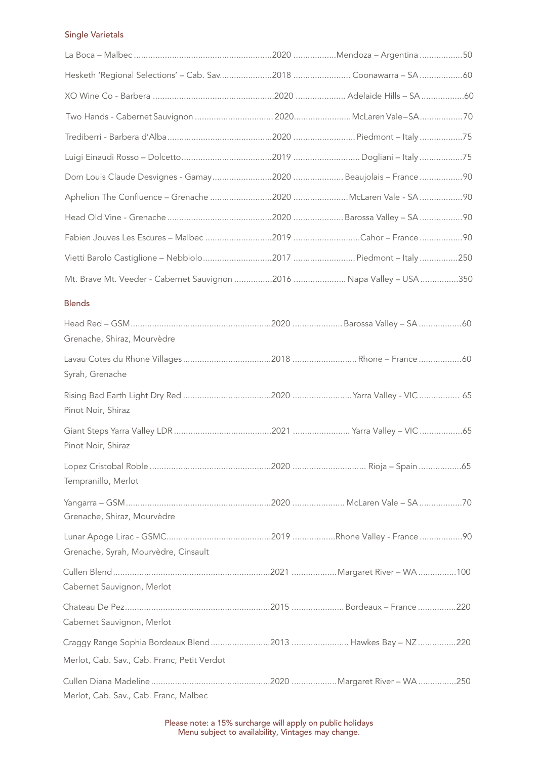#### Single Varietals

|  | Hesketh 'Regional Selections' - Cab. Sav2018  Coonawarra - SA 60<br>Fabien Jouves Les Escures - Malbec 2019 Cahor - France 90<br>Vietti Barolo Castiglione - Nebbiolo2017 Piedmont - Italy250<br>Mt. Brave Mt. Veeder - Cabernet Sauvignon 2016  Napa Valley - USA 350 |
|--|------------------------------------------------------------------------------------------------------------------------------------------------------------------------------------------------------------------------------------------------------------------------|

#### Blends

| Grenache, Shiraz, Mourvèdre                                 |  |  |
|-------------------------------------------------------------|--|--|
|                                                             |  |  |
| Syrah, Grenache                                             |  |  |
|                                                             |  |  |
| Pinot Noir, Shiraz                                          |  |  |
|                                                             |  |  |
| Pinot Noir, Shiraz                                          |  |  |
|                                                             |  |  |
| Tempranillo, Merlot                                         |  |  |
|                                                             |  |  |
| Grenache, Shiraz, Mourvèdre                                 |  |  |
|                                                             |  |  |
| Grenache, Syrah, Mourvèdre, Cinsault                        |  |  |
|                                                             |  |  |
| Cabernet Sauvignon, Merlot                                  |  |  |
|                                                             |  |  |
| Cabernet Sauvignon, Merlot                                  |  |  |
| Craggy Range Sophia Bordeaux Blend2013  Hawkes Bay - NZ 220 |  |  |
| Merlot, Cab. Sav., Cab. Franc, Petit Verdot                 |  |  |
|                                                             |  |  |
| Merlot, Cab. Sav., Cab. Franc, Malbec                       |  |  |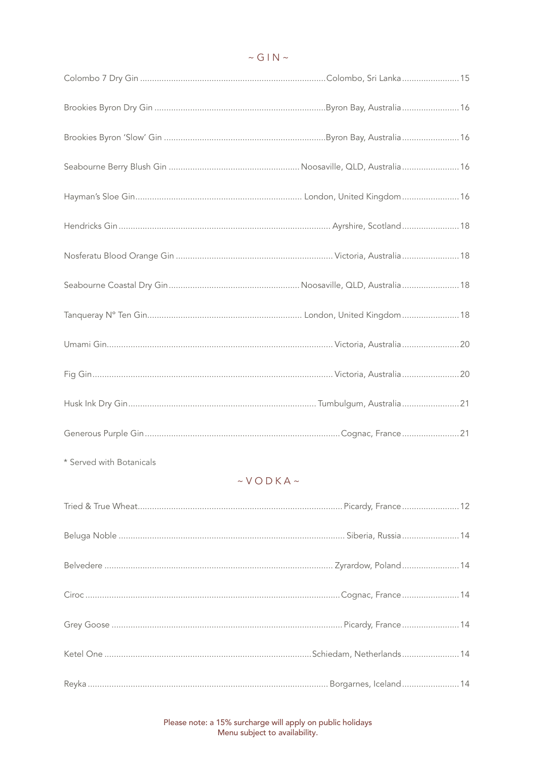| * Served with Botanicals |  |
|--------------------------|--|

# $\sim$  VODKA $\sim$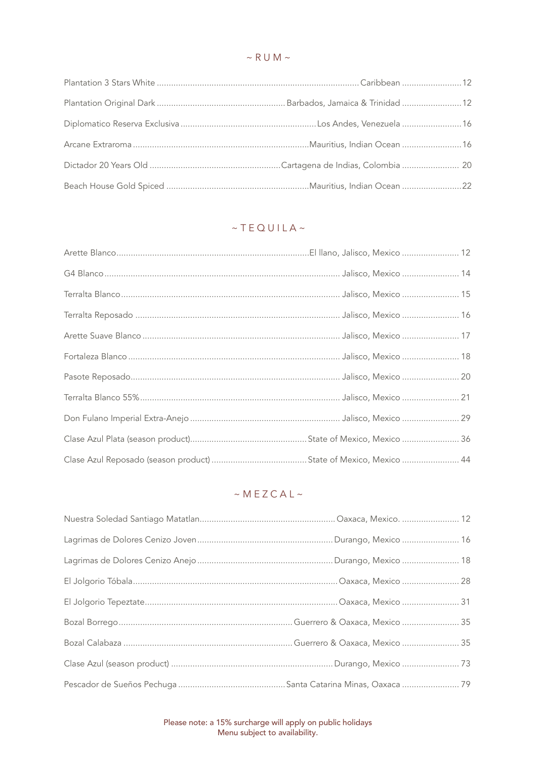## $~\sim$  R U M  $~\sim$

# $~\sim$ TEQUILA $~\sim$

# $~ M E Z C A L ~$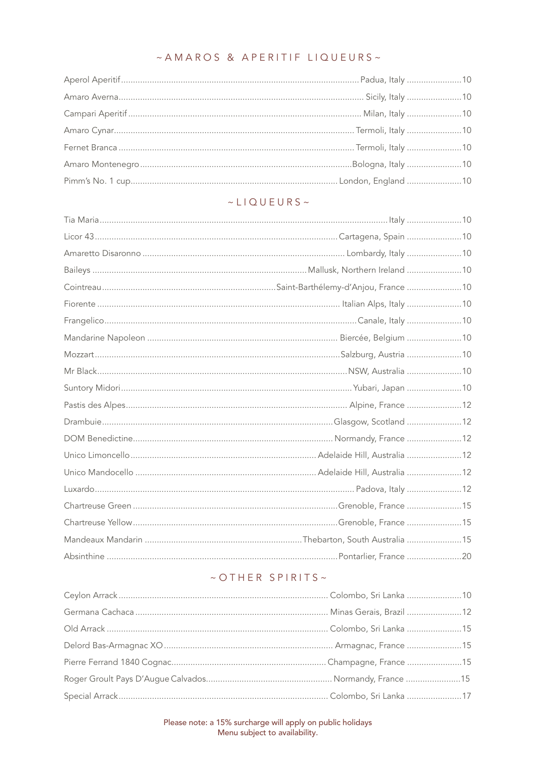# ~ AMAROS & APERITIF LIQUEURS~

## $\sim$  LIQUEURS ~

## ~OTHER SPIRITS~

Please note: a 15% surcharge will apply on public holidays<br>Menu subject to availability.